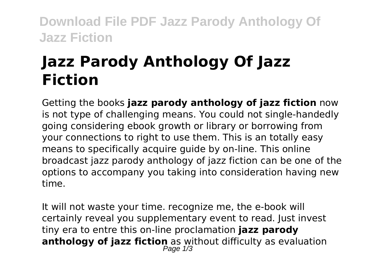**Download File PDF Jazz Parody Anthology Of Jazz Fiction**

## **Jazz Parody Anthology Of Jazz Fiction**

Getting the books **jazz parody anthology of jazz fiction** now is not type of challenging means. You could not single-handedly going considering ebook growth or library or borrowing from your connections to right to use them. This is an totally easy means to specifically acquire guide by on-line. This online broadcast jazz parody anthology of jazz fiction can be one of the options to accompany you taking into consideration having new time.

It will not waste your time. recognize me, the e-book will certainly reveal you supplementary event to read. Just invest tiny era to entre this on-line proclamation **jazz parody anthology of jazz fiction** as without difficulty as evaluation Page  $1/3$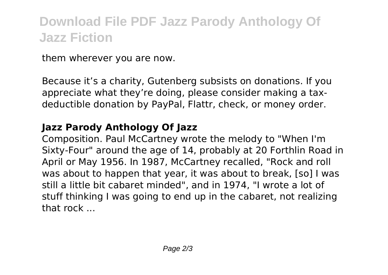## **Download File PDF Jazz Parody Anthology Of Jazz Fiction**

them wherever you are now.

Because it's a charity, Gutenberg subsists on donations. If you appreciate what they're doing, please consider making a taxdeductible donation by PayPal, Flattr, check, or money order.

## **Jazz Parody Anthology Of Jazz**

Composition. Paul McCartney wrote the melody to "When I'm Sixty-Four" around the age of 14, probably at 20 Forthlin Road in April or May 1956. In 1987, McCartney recalled, "Rock and roll was about to happen that year, it was about to break, [so] I was still a little bit cabaret minded", and in 1974, "I wrote a lot of stuff thinking I was going to end up in the cabaret, not realizing that rock ...